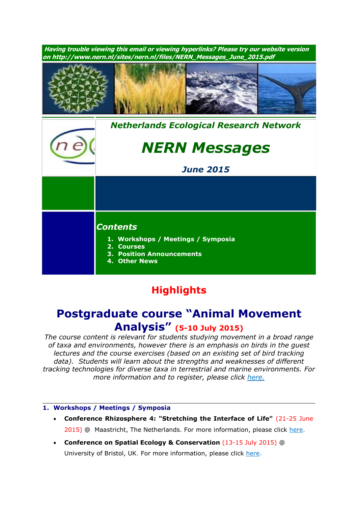

# **Highlights**

## **Postgraduate course "Animal Movement Analysis" (5-10 July 2015)**

*The course content is relevant for students studying movement in a broad range of taxa and environments, however there is an emphasis on birds in the guest lectures and the course exercises (based on an existing set of bird tracking data). Students will learn about the strengths and weaknesses of different tracking technologies for diverse taxa in terrestrial and marine environments. For more information and to register, please click [here.](http://ibed.uva.nl/news-events/events/events/events/content/folder/courses/2015/07/animal-movement-analysis.html)*

### **1. Workshops / Meetings / Symposia**

- **Conference Rhizosphere 4: "Stretching the Interface of Life"** (21-25 June 2015) @ Maastricht, The Netherlands. For more information, please click [here.](http://www.rhizo4.org/)
- **Conference on Spatial Ecology & Conservation** (13-15 July 2015) @ University of Bristol, UK. For more information, please click [here.](http://www.ert-conservation.co.uk/sec3_introduction.php)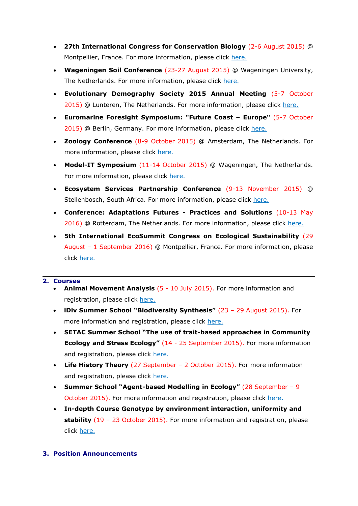- **27th International Congress for Conservation Biology** (2-6 August 2015) @ Montpellier, France. For more information, please click [here.](http://www.iccb-eccb2015.org/)
- **Wageningen Soil Conference** (23-27 August 2015) @ Wageningen University, The Netherlands. For more information, please click [here.](http://www.wageningenur.nl/en/Research-Results/Projects-and-programmes/Wageningen-Soil-Conference.htm)
- **Evolutionary Demography Society 2015 Annual Meeting** (5-7 October 2015) @ Lunteren, The Netherlands. For more information, please click [here.](http://nern.nl/sites/nern.nl/files/EvoDemoS%20general%20announcement.pdf)
- **Euromarine Foresight Symposium: "Future Coast – Europe"** (5-7 October 2015) @ Berlin, Germany. For more information, please click [here.](http://www.io-warnemuende.de/future-coast-home.html)
- **Zoology Conference** (8-9 October 2015) @ Amsterdam, The Netherlands. For more information, please click [here.](http://www.zoology2015.nl/)
- **Model-IT Symposium** (11-14 October 2015) @ Wageningen, The Netherlands. For more information, please click [here.](http://www.model-it.info/)
- **Ecosystem Services Partnership Conference** (9-13 November 2015) @ Stellenbosch, South Africa. For more information, please click [here.](http://www.espconference.org/espconference2015#.VONOuC5SU5g)
- **Conference: Adaptations Futures - Practices and Solutions** (10-13 May 2016) @ Rotterdam, The Netherlands. For more information, please click [here.](http://www.adaptationfutures2016.org/)
- **5th International EcoSummit Congress on Ecological Sustainability** (29 August – 1 September 2016) @ Montpellier, France. For more information, please click [here.](http://www.ecosummit2016.org/)

### **2. Courses**

- **Animal Movement Analysis** (5 10 July 2015). For more information and registration, please click [here.](http://ibed.uva.nl/news-events/events/events/events/content/folder/courses/2015/07/animal-movement-analysis.html)
- **iDiv Summer School "Biodiversity Synthesis"** (23 29 August 2015). For more information and registration, please click [here.](http://www.idiv.de/en/ydiv/idiv-summer-school)
- **SETAC Summer School "The use of trait-based approaches in Community Ecology and Stress Ecology"** (14 - 25 September 2015). For more information and registration, please click [here.](http://nern.nl/sites/nern.nl/files/SETAC_course_2015.pdf)
- **Life History Theory** (27 September 2 October 2015). For more information and registration, please click [here.](http://www.rug.nl/research/ecology-and-evolution/phdcourses/lifehistorytheory?lang=en)
- **Summer School "Agent-based Modelling in Ecology"** (28 September 9 October 2015). For more information and registration, please click [here.](http://nern.nl/sites/nern.nl/files/ABM%20course%20Coimbra%202015%20flyer.pdf)
- **In-depth Course Genotype by environment interaction, uniformity and stability** (19 – 23 October 2015). For more information and registration, please click [here.](http://www.wageningenur.nl/nl/activiteit/Indepth-Course-Genotype-by-environment-interaction-uniformity-and-stability.htm)